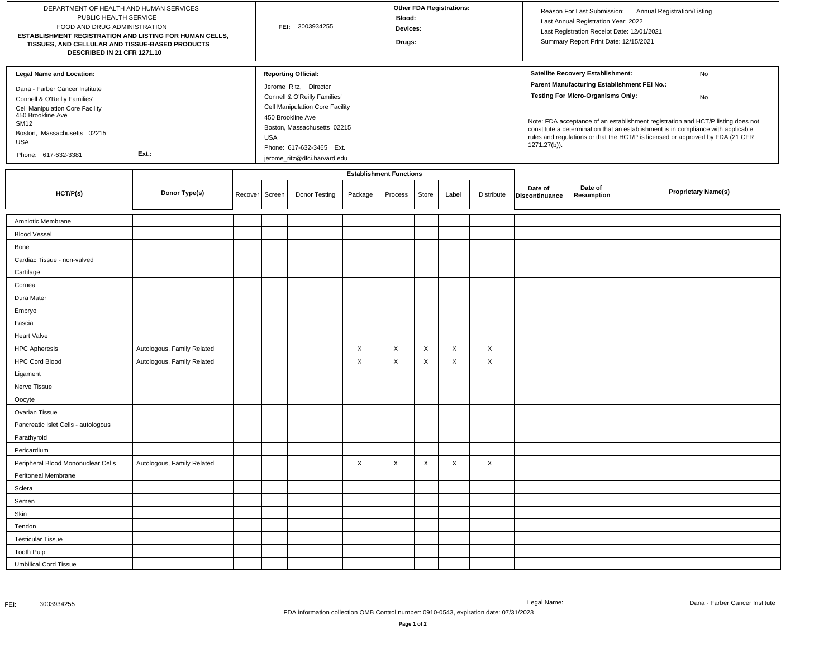| DEPARTMENT OF HEALTH AND HUMAN SERVICES<br>PUBLIC HEALTH SERVICE<br>FOOD AND DRUG ADMINISTRATION<br>ESTABLISHMENT REGISTRATION AND LISTING FOR HUMAN CELLS,<br>TISSUES, AND CELLULAR AND TISSUE-BASED PRODUCTS<br>DESCRIBED IN 21 CFR 1271.10         |                            |                  | FEI: 3003934255 |                                                                                                                                                                                                                                                      |         |                                           | <b>Other FDA Registrations:</b><br>Blood:<br>Devices:<br>Drugs: |       |            |                                                                                                                                                                                                                                                                                                                                                                                                                     | Reason For Last Submission:<br>Annual Registration/Listing<br>Last Annual Registration Year: 2022<br>Last Registration Receipt Date: 12/01/2021<br>Summary Report Print Date: 12/15/2021 |                            |  |
|-------------------------------------------------------------------------------------------------------------------------------------------------------------------------------------------------------------------------------------------------------|----------------------------|------------------|-----------------|------------------------------------------------------------------------------------------------------------------------------------------------------------------------------------------------------------------------------------------------------|---------|-------------------------------------------|-----------------------------------------------------------------|-------|------------|---------------------------------------------------------------------------------------------------------------------------------------------------------------------------------------------------------------------------------------------------------------------------------------------------------------------------------------------------------------------------------------------------------------------|------------------------------------------------------------------------------------------------------------------------------------------------------------------------------------------|----------------------------|--|
| <b>Legal Name and Location:</b><br>Dana - Farber Cancer Institute<br>Connell & O'Reilly Families'<br>Cell Manipulation Core Facility<br>450 Brookline Ave<br><b>SM12</b><br>Boston, Massachusetts 02215<br><b>USA</b><br>Ext.:<br>Phone: 617-632-3381 |                            |                  |                 | <b>Reporting Official:</b><br>Jerome Ritz, Director<br>Connell & O'Reilly Families'<br>Cell Manipulation Core Facility<br>450 Brookline Ave<br>Boston, Massachusetts 02215<br><b>USA</b><br>Phone: 617-632-3465 Ext.<br>jerome_ritz@dfci.harvard.edu |         |                                           |                                                                 |       |            | Satellite Recovery Establishment:<br>No<br>Parent Manufacturing Establishment FEI No.:<br><b>Testing For Micro-Organisms Only:</b><br>No<br>Note: FDA acceptance of an establishment registration and HCT/P listing does not<br>constitute a determination that an establishment is in compliance with applicable<br>rules and regulations or that the HCT/P is licensed or approved by FDA (21 CFR<br>1271.27(b)). |                                                                                                                                                                                          |                            |  |
| HCT/P(s)                                                                                                                                                                                                                                              | Donor Type(s)              | Recover   Screen |                 | Donor Testing                                                                                                                                                                                                                                        | Package | <b>Establishment Functions</b><br>Process | Store                                                           | Label | Distribute | Date of<br>Discontinuance                                                                                                                                                                                                                                                                                                                                                                                           | Date of<br>Resumption                                                                                                                                                                    | <b>Proprietary Name(s)</b> |  |
| Amniotic Membrane                                                                                                                                                                                                                                     |                            |                  |                 |                                                                                                                                                                                                                                                      |         |                                           |                                                                 |       |            |                                                                                                                                                                                                                                                                                                                                                                                                                     |                                                                                                                                                                                          |                            |  |
| <b>Blood Vessel</b>                                                                                                                                                                                                                                   |                            |                  |                 |                                                                                                                                                                                                                                                      |         |                                           |                                                                 |       |            |                                                                                                                                                                                                                                                                                                                                                                                                                     |                                                                                                                                                                                          |                            |  |
| Bone                                                                                                                                                                                                                                                  |                            |                  |                 |                                                                                                                                                                                                                                                      |         |                                           |                                                                 |       |            |                                                                                                                                                                                                                                                                                                                                                                                                                     |                                                                                                                                                                                          |                            |  |
| Cardiac Tissue - non-valved                                                                                                                                                                                                                           |                            |                  |                 |                                                                                                                                                                                                                                                      |         |                                           |                                                                 |       |            |                                                                                                                                                                                                                                                                                                                                                                                                                     |                                                                                                                                                                                          |                            |  |
| Cartilage                                                                                                                                                                                                                                             |                            |                  |                 |                                                                                                                                                                                                                                                      |         |                                           |                                                                 |       |            |                                                                                                                                                                                                                                                                                                                                                                                                                     |                                                                                                                                                                                          |                            |  |
| Cornea                                                                                                                                                                                                                                                |                            |                  |                 |                                                                                                                                                                                                                                                      |         |                                           |                                                                 |       |            |                                                                                                                                                                                                                                                                                                                                                                                                                     |                                                                                                                                                                                          |                            |  |
| Dura Mater                                                                                                                                                                                                                                            |                            |                  |                 |                                                                                                                                                                                                                                                      |         |                                           |                                                                 |       |            |                                                                                                                                                                                                                                                                                                                                                                                                                     |                                                                                                                                                                                          |                            |  |
| Embryo                                                                                                                                                                                                                                                |                            |                  |                 |                                                                                                                                                                                                                                                      |         |                                           |                                                                 |       |            |                                                                                                                                                                                                                                                                                                                                                                                                                     |                                                                                                                                                                                          |                            |  |
| Fascia                                                                                                                                                                                                                                                |                            |                  |                 |                                                                                                                                                                                                                                                      |         |                                           |                                                                 |       |            |                                                                                                                                                                                                                                                                                                                                                                                                                     |                                                                                                                                                                                          |                            |  |
| <b>Heart Valve</b>                                                                                                                                                                                                                                    |                            |                  |                 |                                                                                                                                                                                                                                                      |         |                                           |                                                                 |       |            |                                                                                                                                                                                                                                                                                                                                                                                                                     |                                                                                                                                                                                          |                            |  |
| <b>HPC Apheresis</b>                                                                                                                                                                                                                                  | Autologous, Family Related |                  |                 |                                                                                                                                                                                                                                                      | Χ       | X                                         | X                                                               | X     | X          |                                                                                                                                                                                                                                                                                                                                                                                                                     |                                                                                                                                                                                          |                            |  |
| <b>HPC Cord Blood</b>                                                                                                                                                                                                                                 | Autologous, Family Related |                  |                 |                                                                                                                                                                                                                                                      | X       | X                                         | X                                                               | X     | X          |                                                                                                                                                                                                                                                                                                                                                                                                                     |                                                                                                                                                                                          |                            |  |
| Ligament                                                                                                                                                                                                                                              |                            |                  |                 |                                                                                                                                                                                                                                                      |         |                                           |                                                                 |       |            |                                                                                                                                                                                                                                                                                                                                                                                                                     |                                                                                                                                                                                          |                            |  |
| Nerve Tissue                                                                                                                                                                                                                                          |                            |                  |                 |                                                                                                                                                                                                                                                      |         |                                           |                                                                 |       |            |                                                                                                                                                                                                                                                                                                                                                                                                                     |                                                                                                                                                                                          |                            |  |
| Oocyte                                                                                                                                                                                                                                                |                            |                  |                 |                                                                                                                                                                                                                                                      |         |                                           |                                                                 |       |            |                                                                                                                                                                                                                                                                                                                                                                                                                     |                                                                                                                                                                                          |                            |  |
| Ovarian Tissue                                                                                                                                                                                                                                        |                            |                  |                 |                                                                                                                                                                                                                                                      |         |                                           |                                                                 |       |            |                                                                                                                                                                                                                                                                                                                                                                                                                     |                                                                                                                                                                                          |                            |  |
| Pancreatic Islet Cells - autologous                                                                                                                                                                                                                   |                            |                  |                 |                                                                                                                                                                                                                                                      |         |                                           |                                                                 |       |            |                                                                                                                                                                                                                                                                                                                                                                                                                     |                                                                                                                                                                                          |                            |  |
| Parathyroid                                                                                                                                                                                                                                           |                            |                  |                 |                                                                                                                                                                                                                                                      |         |                                           |                                                                 |       |            |                                                                                                                                                                                                                                                                                                                                                                                                                     |                                                                                                                                                                                          |                            |  |
| Pericardium                                                                                                                                                                                                                                           |                            |                  |                 |                                                                                                                                                                                                                                                      |         |                                           |                                                                 |       |            |                                                                                                                                                                                                                                                                                                                                                                                                                     |                                                                                                                                                                                          |                            |  |
| Peripheral Blood Mononuclear Cells                                                                                                                                                                                                                    | Autologous, Family Related |                  |                 |                                                                                                                                                                                                                                                      | Χ       | X                                         | X                                                               | X     | X          |                                                                                                                                                                                                                                                                                                                                                                                                                     |                                                                                                                                                                                          |                            |  |
| Peritoneal Membrane                                                                                                                                                                                                                                   |                            |                  |                 |                                                                                                                                                                                                                                                      |         |                                           |                                                                 |       |            |                                                                                                                                                                                                                                                                                                                                                                                                                     |                                                                                                                                                                                          |                            |  |
| Sclera                                                                                                                                                                                                                                                |                            |                  |                 |                                                                                                                                                                                                                                                      |         |                                           |                                                                 |       |            |                                                                                                                                                                                                                                                                                                                                                                                                                     |                                                                                                                                                                                          |                            |  |
| Semen                                                                                                                                                                                                                                                 |                            |                  |                 |                                                                                                                                                                                                                                                      |         |                                           |                                                                 |       |            |                                                                                                                                                                                                                                                                                                                                                                                                                     |                                                                                                                                                                                          |                            |  |
| Skin                                                                                                                                                                                                                                                  |                            |                  |                 |                                                                                                                                                                                                                                                      |         |                                           |                                                                 |       |            |                                                                                                                                                                                                                                                                                                                                                                                                                     |                                                                                                                                                                                          |                            |  |
| Tendon                                                                                                                                                                                                                                                |                            |                  |                 |                                                                                                                                                                                                                                                      |         |                                           |                                                                 |       |            |                                                                                                                                                                                                                                                                                                                                                                                                                     |                                                                                                                                                                                          |                            |  |
| <b>Testicular Tissue</b>                                                                                                                                                                                                                              |                            |                  |                 |                                                                                                                                                                                                                                                      |         |                                           |                                                                 |       |            |                                                                                                                                                                                                                                                                                                                                                                                                                     |                                                                                                                                                                                          |                            |  |
| <b>Tooth Pulp</b>                                                                                                                                                                                                                                     |                            |                  |                 |                                                                                                                                                                                                                                                      |         |                                           |                                                                 |       |            |                                                                                                                                                                                                                                                                                                                                                                                                                     |                                                                                                                                                                                          |                            |  |
| <b>Umbilical Cord Tissue</b>                                                                                                                                                                                                                          |                            |                  |                 |                                                                                                                                                                                                                                                      |         |                                           |                                                                 |       |            |                                                                                                                                                                                                                                                                                                                                                                                                                     |                                                                                                                                                                                          |                            |  |